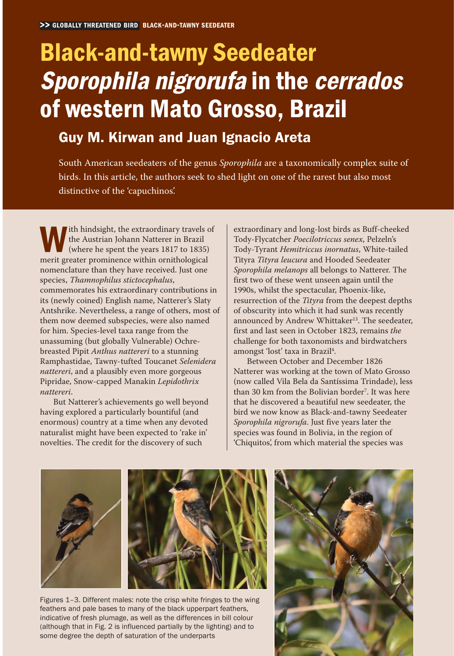# **Black-and-tawny Seedeater** Sporophila nigrorufa in the cerrados of western Mato Grosso, Brazil

## Guy M. Kirwan and Juan Ignacio Areta

South American seedeaters of the genus *Sporophila* are a taxonomically complex suite of birds. In this article, the authors seek to shed light on one of the rarest but also most distinctive of the 'capuchinos'.

With hindsight, the extraordinary travels of<br>the Austrian Johann Natterer in Brazil<br>(where he spent the years 1817 to 1835)<br>merit greater prominence within cruitbological the Austrian Johann Natterer in Brazil merit greater prominence within ornithological nomenclature than they have received. Just one species, *Thamnophilus stictocephalus*, commemorates his extraordinary contributions in its (newly coined) English name, Natterer's Slaty Antshrike. Nevertheless, a range of others, most of them now deemed subspecies, were also named for him. Species- level taxa range from the unassuming (but globally Vulnerable) Ochre breasted Pipit *Anthus nattereri* to a stunning Ramphastidae, Tawny- tufted Toucanet *Selenidera nattereri*, and a plausibly even more gorgeous Pipridae, Snow- capped Manakin *Lepidothrix nattereri*.

But Natterer's achievements go well beyond having explored a particularly bountiful (and enormous) country at a time when any devoted naturalist might have been expected to 'rake in' novelties. The credit for the discovery of such

extraordinary and long-lost birds as Buff-cheeked Tody- Flycatcher *Poecilotriccus senex*, Pelzeln's Tody- Tyrant *Hemitriccus inornatus*, White- tailed Tityra *Tityra leucura* and Hooded Seedeater *Sporophila melanops* all belongs to Natterer. The first two of these went unseen again until the 1990s, whilst the spectacular, Phoenix-like, resurrection of the *Tityra* from the deepest depths of obscurity into which it had sunk was recently announced by Andrew Whittaker<sup>13</sup>. The seedeater, first and last seen in October 1823, remains *the* challenge for both taxonomists and birdwatchers amongst 'lost' taxa in Brazil4.

Between October and December 1826 Natterer was working at the town of Mato Grosso (now called Vila Bela da Santíssima Trindade), less than 30 km from the Bolivian border<sup>7</sup>. It was here that he discovered a beautiful new seedeater, the bird we now know as Black-and-tawny Seedeater *Sporophila nigrorufa*. Just five years later the species was found in Bolivia, in the region of 'Chiquitos', from which material the species was

Figures 1–3. Different males: note the crisp white fringes to the wing feathers and pale bases to many of the black upperpart feathers, indicative of fresh plumage, as well as the differences in bill colour (although that in Fig. 2 is influenced partially by the lighting) and to some degree the depth of saturation of the underparts



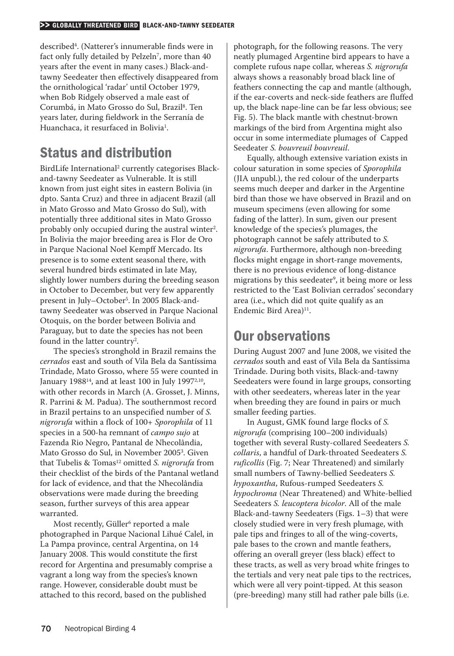described4. (Natterer's innumerable finds were in fact only fully detailed by Pelzeln<sup>7</sup>, more than 40 years after the event in many cases.) Black-and tawny Seedeater then effectively disappeared from the ornithological 'radar' until October 1979, when Bob Ridgely observed a male east of Corumbá, in Mato Grosso do Sul, Brazil8. Ten years later, during fieldwork in the Serranía de Huanchaca, it resurfaced in Bolivia<sup>1</sup>.

## Status and distribution

BirdLife International<sup>2</sup> currently categorises Black and- tawny Seedeater as Vulnerable. It is still known from just eight sites in eastern Bolivia (in dpto. Santa Cruz) and three in adjacent Brazil (all in Mato Grosso and Mato Grosso do Sul), with potentially three additional sites in Mato Grosso probably only occupied during the austral winter2. In Bolivia the major breeding area is Flor de Oro in Parque Nacional Noel Kempff Mercado. Its presence is to some extent seasonal there, with several hundred birds estimated in late May, slightly lower numbers during the breeding season in October to December, but very few apparently present in July–October<sup>5</sup>. In 2005 Black-and tawny Seedeater was observed in Parque Nacional Otoquis, on the border between Bolivia and Paraguay, but to date the species has not been found in the latter country<sup>2</sup>.

The species's stronghold in Brazil remains the *cerrados* east and south of Vila Bela da Santíssima Trindade, Mato Grosso, where 55 were counted in January 198814, and at least 100 in July 19972,10, with other records in March (A. Grosset, J. Minns, R. Parrini & M. Padua). The southernmost record in Brazil pertains to an unspecified number of *S. nigrorufa* within a flock of 100+ *Sporophila* of 11 species in a 500-ha remnant of *campo sujo* at Fazenda Rio Negro, Pantanal de Nhecolândia, Mato Grosso do Sul, in November 20053. Given that Tubelis & Tomas<sup>12</sup> omitted *S. nigrorufa* from their checklist of the birds of the Pantanal wetland for lack of evidence, and that the Nhecolândia observations were made during the breeding season, further surveys of this area appear warranted.

Most recently, Güller<sup>6</sup> reported a male photographed in Parque Nacional Lihué Calel, in La Pampa province, central Argentina, on 14 January 2008. This would constitute the first record for Argentina and presumably comprise a vagrant a long way from the species's known range. However, considerable doubt must be attached to this record, based on the published

photograph, for the following reasons. The very neatly plumaged Argentine bird appears to have a complete rufous nape collar, whereas *S. nigrorufa* always shows a reasonably broad black line of feathers connecting the cap and mantle (although, if the ear-coverts and neck-side feathers are fluffed up, the black nape-line can be far less obvious; see Fig. 5). The black mantle with chestnut-brown markings of the bird from Argentina might also occur in some intermediate plumages of Capped Seedeater *S. bouvreuil bouvreuil*.

Equally, although extensive variation exists in colour saturation in some species of *Sporophila* (JIA unpubl.), the red colour of the underparts seems much deeper and darker in the Argentine bird than those we have observed in Brazil and on museum specimens (even allowing for some fading of the latter). In sum, given our present knowledge of the species's plumages, the photograph cannot be safely attributed to *S. nigrorufa*. Furthermore, although non- breeding flocks might engage in short-range movements, there is no previous evidence of long-distance migrations by this seedeater<sup>9</sup>, it being more or less restricted to the 'East Bolivian cerrados' secondary area (i.e., which did not quite qualify as an Endemic Bird Area)<sup>11</sup>.

## Our observations

During August 2007 and June 2008, we visited the *cerrados* south and east of Vila Bela da Santíssima Trindade. During both visits, Black-and-tawny Seedeaters were found in large groups, consorting with other seedeaters, whereas later in the year when breeding they are found in pairs or much smaller feeding parties.

In August, GMK found large flocks of *S. nigrorufa* (comprising 100–200 individuals) together with several Rusty- collared Seedeaters *S. collaris*, a handful of Dark- throated Seedeaters *S. ruficollis* (Fig. 7; Near Threatened) and similarly small numbers of Tawny- bellied Seedeaters *S. hypoxantha*, Rufous- rumped Seedeaters *S.* hypochroma (Near Threatened) and White-bellied Seedeaters *S. leucoptera bicolor*. All of the male Black-and-tawny Seedeaters (Figs. 1–3) that were closely studied were in very fresh plumage, with pale tips and fringes to all of the wing-coverts, pale bases to the crown and mantle feathers, offering an overall greyer (less black) effect to these tracts, as well as very broad white fringes to the tertials and very neat pale tips to the rectrices, which were all very point- tipped. At this season (pre- breeding) many still had rather pale bills (i.e.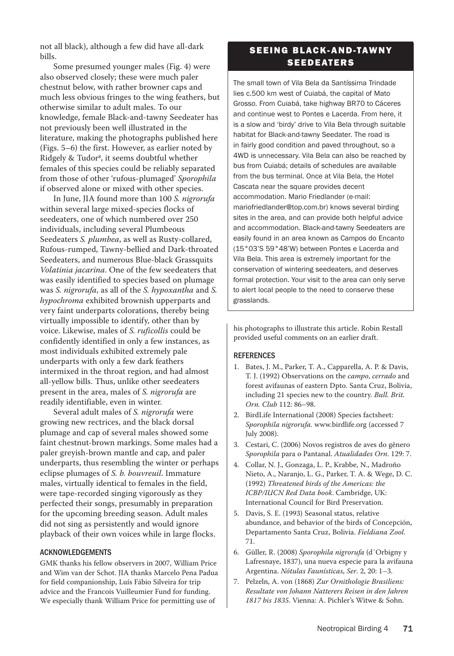not all black), although a few did have all- dark bills.

Some presumed younger males (Fig. 4) were also observed closely; these were much paler chestnut below, with rather browner caps and much less obvious fringes to the wing feathers, but otherwise similar to adult males. To our knowledge, female Black- and- tawny Seedeater has not previously been well illustrated in the literature, making the photographs published here (Figs. 5–6) the first. However, as earlier noted by Ridgely & Tudor<sup>8</sup>, it seems doubtful whether females of this species could be reliably separated from those of other 'rufous- plumaged' *Sporophila* if observed alone or mixed with other species.

In June, JIA found more than 100 *S. nigrorufa* within several large mixed- species flocks of seedeaters, one of which numbered over 250 individuals, including several Plumbeous Seedeaters *S. plumbea*, as well as Rusty-collared, Rufous- rumped, Tawny- bellied and Dark- throated Seedeaters, and numerous Blue-black Grassquits *Volatinia jacarina*. One of the few seedeaters that was easily identified to species based on plumage was *S. nigrorufa*, as all of the *S. hypoxantha* and *S. hypochroma* exhibited brownish upperparts and very faint underparts colorations, thereby being virtually impossible to identify, other than by voice. Likewise, males of *S. ruficollis* could be confidently identified in only a few instances, as most individuals exhibited extremely pale underparts with only a few dark feathers intermixed in the throat region, and had almost all- yellow bills. Thus, unlike other seedeaters present in the area, males of *S. nigrorufa* are readily identifiable, even in winter.

Several adult males of *S. nigrorufa* were growing new rectrices, and the black dorsal plumage and cap of several males showed some faint chestnut-brown markings. Some males had a paler greyish- brown mantle and cap, and paler underparts, thus resembling the winter or perhaps eclipse plumages of *S. b. bouvreuil*. Immature males, virtually identical to females in the field, were tape-recorded singing vigorously as they perfected their songs, presumably in preparation for the upcoming breeding season. Adult males did not sing as persistently and would ignore playback of their own voices while in large flocks.

#### ACKNOWLEDGEMENTS

GMK thanks his fellow observers in 2007, William Price and Wim van der Schot. JIA thanks Marcelo Pena Padua for field companionship, Luís Fábio Silveira for trip advice and the Francois Vuilleumier Fund for funding. We especially thank William Price for permitting use of

### SEEING BLACK-AND-TAWNY SEEDEATERS

The small town of Vila Bela da Santíssima Trindade lies c.500 km west of Cuiabá, the capital of Mato Grosso. From Cuiabá, take highway BR70 to Cáceres and continue west to Pontes e Lacerda. From here, it is a slow and 'birdy' drive to Vila Bela through suitable habitat for Black-and-tawny Seedater. The road is in fairly good condition and paved throughout, so a 4WD is unnecessary. Vila Bela can also be reached by bus from Cuiabá; details of schedules are available from the bus terminal. Once at Vila Bela, the Hotel Cascata near the square provides decent accommodation. Mario Friedlander (e-mail: mariofriedlander@top.com.br) knows several birding sites in the area, and can provide both helpful advice and accommodation. Black-and-tawny Seedeaters are easily found in an area known as Campos do Encanto (15°03'S 59°48'W) between Pontes e Lacerda and Vila Bela. This area is extremely important for the conservation of wintering seedeaters, and deserves formal protection. Your visit to the area can only serve to alert local people to the need to conserve these grasslands.

his photographs to illustrate this article. Robin Restall provided useful comments on an earlier draft.

#### **REFERENCES**

- 1. Bates, J. M., Parker, T. A., Capparella, A. P. & Davis, T. J. (1992) Observations on the *campo*, *cerrado* and forest avifaunas of eastern Dpto. Santa Cruz, Bolivia, including 21 species new to the country. *Bull. Brit. Orn. Club* 112: 86–98.
- 2. BirdLife International (2008) Species factsheet: *Sporophila nigrorufa*. www.birdlife.org (accessed 7 July 2008).
- 3. Cestari, C. (2006) Novos registros de aves do gênero *Sporophila* para o Pantanal. *Atualidades Orn*. 129: 7.
- 4. Collar, N. J., Gonzaga, L. P., Krabbe, N., Madroño Nieto, A., Naranjo, L. G., Parker, T. A. & Wege, D. C. (1992) *Threatened birds of the Americas: the ICBP/IUCN Red Data book*. Cambridge, UK: International Council for Bird Preservation.
- 5. Davis, S. E. (1993) Seasonal status, relative abundance, and behavior of the birds of Concepción, Departamento Santa Cruz, Bolivia. *Fieldiana Zool*. 71.
- 6. Güller, R. (2008) *Sporophila nigrorufa* (d´Orbigny y Lafresnaye, 1837), una nueva especie para la avifauna Argentina. *Nótulas Faunísticas*, *Ser*. 2, 20: 1–3.
- 7. Pelzeln, A. von (1868) *Zur Ornithologie Brasiliens: Resultate von Johann Natterers Reisen in den Jahren 1817 bis 1835*. Vienna: A. Pichler's Witwe & Sohn.